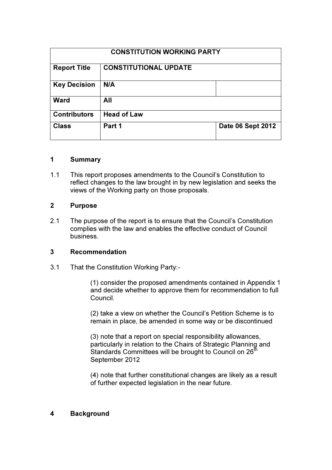| <b>CONSTITUTION WORKING PARTY</b> |                              |                   |
|-----------------------------------|------------------------------|-------------------|
| <b>Report Title</b>               | <b>CONSTITUTIONAL UPDATE</b> |                   |
| <b>Key Decision</b>               | N/A                          |                   |
| <b>Ward</b>                       | All                          |                   |
| <b>Contributors</b>               | <b>Head of Law</b>           |                   |
| <b>Class</b>                      | Part 1                       | Date 06 Sept 2012 |

## 1 Summary

1.1 This report proposes amendments to the Council's Constitution to reflect changes to the law brought in by new legislation and seeks the views of the Working party on those proposals.

#### 2 Purpose

2.1 The purpose of the report is to ensure that the Council's Constitution complies with the law and enables the effective conduct of Council business.

#### 3 Recommendation

3.1 That the Constitution Working Party:-

(1) consider the proposed amendments contained in Appendix 1 and decide whether to approve them for recommendation to full Council.

(2) take a view on whether the Council's Petition Scheme is to remain in place, be amended in some way or be discontinued

(3) note that a report on special responsibility allowances, particularly in relation to the Chairs of Strategic Planning and Standards Committees will be brought to Council on  $26<sup>th</sup>$ September 2012

(4) note that further constitutional changes are likely as a result of further expected legislation in the near future.

#### 4 Background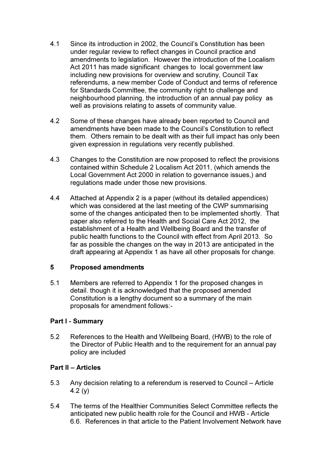- 4.1 Since its introduction in 2002, the Council's Constitution has been under regular review to reflect changes in Council practice and amendments to legislation. However the introduction of the Localism Act 2011 has made significant changes to local government law including new provisions for overview and scrutiny, Council Tax referendums, a new member Code of Conduct and terms of reference for Standards Committee, the community right to challenge and neighbourhood planning, the introduction of an annual pay policy as well as provisions relating to assets of community value.
- 4.2 Some of these changes have already been reported to Council and amendments have been made to the Council's Constitution to reflect them. Others remain to be dealt with as their full impact has only been given expression in regulations very recently published.
- 4.3 Changes to the Constitution are now proposed to reflect the provisions contained within Schedule 2 Localism Act 2011, (which amends the Local Government Act 2000 in relation to governance issues,) and regulations made under those new provisions.
- 4.4 Attached at Appendix 2 is a paper (without its detailed appendices) which was considered at the last meeting of the CWP summarising some of the changes anticipated then to be implemented shortly. That paper also referred to the Health and Social Care Act 2012, the establishment of a Health and Wellbeing Board and the transfer of public health functions to the Council with effect from April 2013. So far as possible the changes on the way in 2013 are anticipated in the draft appearing at Appendix 1 as have all other proposals for change.

#### 5 Proposed amendments

5.1 Members are referred to Appendix 1 for the proposed changes in detail. though it is acknowledged that the proposed amended Constitution is a lengthy document so a summary of the main proposals for amendment follows:-

#### Part I - Summary

5.2 References to the Health and Wellbeing Board, (HWB) to the role of the Director of Public Health and to the requirement for an annual pay policy are included

#### Part II – Articles

- 5.3 Any decision relating to a referendum is reserved to Council Article 4.2 (y)
- 5.4 The terms of the Healthier Communities Select Committee reflects the anticipated new public health role for the Council and HWB - Article 6.6. References in that article to the Patient Involvement Network have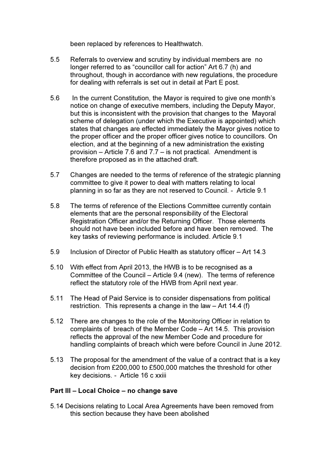been replaced by references to Healthwatch.

- 5.5 Referrals to overview and scrutiny by individual members are no longer referred to as "councillor call for action" Art 6.7 (h) and throughout, though in accordance with new regulations, the procedure for dealing with referrals is set out in detail at Part E post.
- 5.6 In the current Constitution, the Mayor is required to give one month's notice on change of executive members, including the Deputy Mayor, but this is inconsistent with the provision that changes to the Mayoral scheme of delegation (under which the Executive is appointed) which states that changes are effected immediately the Mayor gives notice to the proper officer and the proper officer gives notice to councillors. On election, and at the beginning of a new administration the existing provision – Article 7.6 and 7.7 – is not practical. Amendment is therefore proposed as in the attached draft.
- 5.7 Changes are needed to the terms of reference of the strategic planning committee to give it power to deal with matters relating to local planning in so far as they are not reserved to Council. - Article 9.1
- 5.8 The terms of reference of the Elections Committee currently contain elements that are the personal responsibility of the Electoral Registration Officer and/or the Returning Officer. Those elements should not have been included before and have been removed. The key tasks of reviewing performance is included. Article 9.1
- 5.9 Inclusion of Director of Public Health as statutory officer Art 14.3
- 5.10 With effect from April 2013, the HWB is to be recognised as a Committee of the Council – Article 9.4 (new). The terms of reference reflect the statutory role of the HWB from April next year.
- 5.11 The Head of Paid Service is to consider dispensations from political restriction. This represents a change in the law – Art 14.4 (f)
- 5.12 There are changes to the role of the Monitoring Officer in relation to complaints of breach of the Member Code – Art 14.5. This provision reflects the approval of the new Member Code and procedure for handling complaints of breach which were before Council in June 2012.
- 5.13 The proposal for the amendment of the value of a contract that is a key decision from £200,000 to £500,000 matches the threshold for other key decisions. - Article 16 c xxiii

#### Part III – Local Choice – no change save

5.14 Decisions relating to Local Area Agreements have been removed from this section because they have been abolished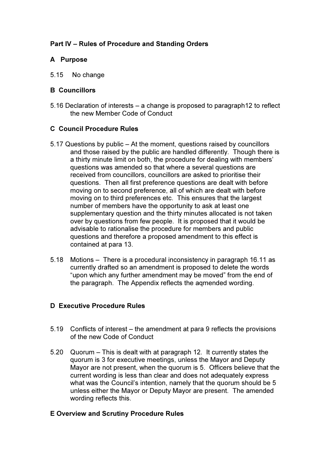# Part IV – Rules of Procedure and Standing Orders

## A Purpose

5.15 No change

### B Councillors

5.16 Declaration of interests – a change is proposed to paragraph12 to reflect the new Member Code of Conduct

## C Council Procedure Rules

- 5.17 Questions by public At the moment, questions raised by councillors and those raised by the public are handled differently. Though there is a thirty minute limit on both, the procedure for dealing with members' questions was amended so that where a several questions are received from councillors, councillors are asked to prioritise their questions. Then all first preference questions are dealt with before moving on to second preference, all of which are dealt with before moving on to third preferences etc. This ensures that the largest number of members have the opportunity to ask at least one supplementary question and the thirty minutes allocated is not taken over by questions from few people. It is proposed that it would be advisable to rationalise the procedure for members and public questions and therefore a proposed amendment to this effect is contained at para 13.
- 5.18 Motions There is a procedural inconsistency in paragraph 16.11 as currently drafted so an amendment is proposed to delete the words "upon which any further amendment may be moved" from the end of the paragraph. The Appendix reflects the aqmended wording.

#### D Executive Procedure Rules

- 5.19 Conflicts of interest the amendment at para 9 reflects the provisions of the new Code of Conduct
- 5.20 Quorum This is dealt with at paragraph 12. It currently states the quorum is 3 for executive meetings, unless the Mayor and Deputy Mayor are not present, when the quorum is 5. Officers believe that the current wording is less than clear and does not adequately express what was the Council's intention, namely that the quorum should be 5 unless either the Mayor or Deputy Mayor are present. The amended wording reflects this.

#### E Overview and Scrutiny Procedure Rules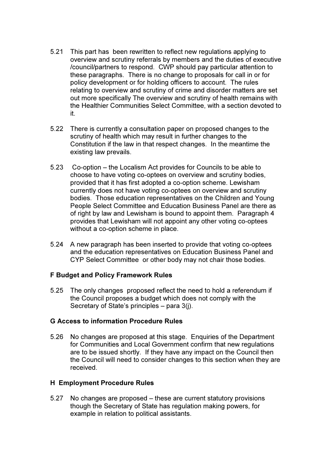- 5.21 This part has been rewritten to reflect new regulations applying to overview and scrutiny referrals by members and the duties of executive /council/partners to respond. CWP should pay particular attention to these paragraphs. There is no change to proposals for call in or for policy development or for holding officers to account. The rules relating to overview and scrutiny of crime and disorder matters are set out more specifically The overview and scrutiny of health remains with the Healthier Communities Select Committee, with a section devoted to it.
- 5.22 There is currently a consultation paper on proposed changes to the scrutiny of health which may result in further changes to the Constitution if the law in that respect changes. In the meantime the existing law prevails.
- 5.23 Co-option the Localism Act provides for Councils to be able to choose to have voting co-optees on overview and scrutiny bodies, provided that it has first adopted a co-option scheme. Lewisham currently does not have voting co-optees on overview and scrutiny bodies. Those education representatives on the Children and Young People Select Committee and Education Business Panel are there as of right by law and Lewisham is bound to appoint them. Paragraph 4 provides that Lewisham will not appoint any other voting co-optees without a co-option scheme in place.
- 5.24 A new paragraph has been inserted to provide that voting co-optees and the education representatives on Education Business Panel and CYP Select Committee or other body may not chair those bodies.

#### F Budget and Policy Framework Rules

5.25 The only changes proposed reflect the need to hold a referendum if the Council proposes a budget which does not comply with the Secretary of State's principles – para 3(j).

#### G Access to information Procedure Rules

5.26 No changes are proposed at this stage. Enquiries of the Department for Communities and Local Government confirm that new regulations are to be issued shortly. If they have any impact on the Council then the Council will need to consider changes to this section when they are received.

#### H Employment Procedure Rules

5.27 No changes are proposed – these are current statutory provisions though the Secretary of State has regulation making powers, for example in relation to political assistants.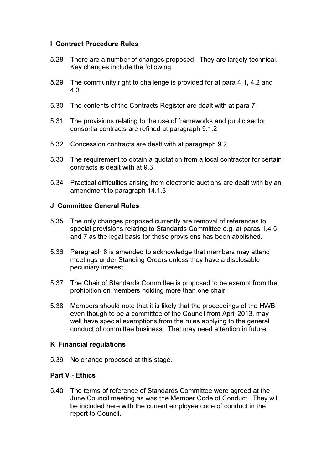### I Contract Procedure Rules

- 5.28 There are a number of changes proposed. They are largely technical. Key changes include the following.
- 5.29 The community right to challenge is provided for at para 4.1, 4.2 and 4.3.
- 5.30 The contents of the Contracts Register are dealt with at para 7.
- 5.31 The provisions relating to the use of frameworks and public sector consortia contracts are refined at paragraph 9.1.2.
- 5.32 Concession contracts are dealt with at paragraph 9.2
- 5.33 The requirement to obtain a quotation from a local contractor for certain contracts is dealt with at 9.3
- 5.34 Practical difficulties arising from electronic auctions are dealt with by an amendment to paragraph 14.1.3

#### J Committee General Rules

- 5.35 The only changes proposed currently are removal of references to special provisions relating to Standards Committee e.g. at paras 1,4,5 and 7 as the legal basis for those provisions has been abolished.
- 5.36 Paragraph 8 is amended to acknowledge that members may attend meetings under Standing Orders unless they have a disclosable pecuniary interest.
- 5.37 The Chair of Standards Committee is proposed to be exempt from the prohibition on members holding more than one chair.
- 5.38 Members should note that it is likely that the proceedings of the HWB, even though to be a committee of the Council from April 2013, may well have special exemptions from the rules applying to the general conduct of committee business. That may need attention in future.

#### K Financial regulations

5.39 No change proposed at this stage.

### Part V - Ethics

5.40 The terms of reference of Standards Committee were agreed at the June Council meeting as was the Member Code of Conduct. They will be included here with the current employee code of conduct in the report to Council.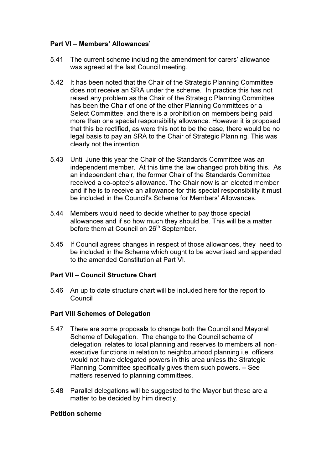## Part VI – Members' Allowances'

- 5.41 The current scheme including the amendment for carers' allowance was agreed at the last Council meeting.
- 5.42 It has been noted that the Chair of the Strategic Planning Committee does not receive an SRA under the scheme. In practice this has not raised any problem as the Chair of the Strategic Planning Committee has been the Chair of one of the other Planning Committees or a Select Committee, and there is a prohibition on members being paid more than one special responsibility allowance. However it is proposed that this be rectified, as were this not to be the case, there would be no legal basis to pay an SRA to the Chair of Strategic Planning. This was clearly not the intention.
- 5.43 Until June this year the Chair of the Standards Committee was an independent member. At this time the law changed prohibiting this. As an independent chair, the former Chair of the Standards Committee received a co-optee's allowance. The Chair now is an elected member and if he is to receive an allowance for this special responsibility it must be included in the Council's Scheme for Members' Allowances.
- 5.44 Members would need to decide whether to pay those special allowances and if so how much they should be. This will be a matter before them at Council on 26<sup>th</sup> September.
- 5.45 If Council agrees changes in respect of those allowances, they need to be included in the Scheme which ought to be advertised and appended to the amended Constitution at Part VI.

#### Part VII – Council Structure Chart

5.46 An up to date structure chart will be included here for the report to Council

#### Part VIII Schemes of Delegation

- 5.47 There are some proposals to change both the Council and Mayoral Scheme of Delegation. The change to the Council scheme of delegation relates to local planning and reserves to members all nonexecutive functions in relation to neighbourhood planning i.e. officers would not have delegated powers in this area unless the Strategic Planning Committee specifically gives them such powers. – See matters reserved to planning committees.
- 5.48 Parallel delegations will be suggested to the Mayor but these are a matter to be decided by him directly.

#### Petition scheme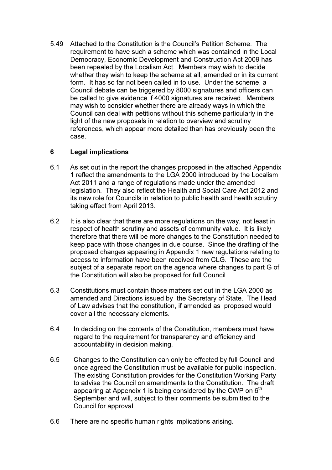5.49 Attached to the Constitution is the Council's Petition Scheme. The requirement to have such a scheme which was contained in the Local Democracy, Economic Development and Construction Act 2009 has been repealed by the Localism Act. Members may wish to decide whether they wish to keep the scheme at all, amended or in its current form. It has so far not been called in to use. Under the scheme, a Council debate can be triggered by 8000 signatures and officers can be called to give evidence if 4000 signatures are received. Members may wish to consider whether there are already ways in which the Council can deal with petitions without this scheme particularly in the light of the new proposals in relation to overview and scrutiny references, which appear more detailed than has previously been the case.

## 6 Legal implications

- 6.1 As set out in the report the changes proposed in the attached Appendix 1 reflect the amendments to the LGA 2000 introduced by the Localism Act 2011 and a range of regulations made under the amended legislation. They also reflect the Health and Social Care Act 2012 and its new role for Councils in relation to public health and health scrutiny taking effect from April 2013.
- 6.2 It is also clear that there are more regulations on the way, not least in respect of health scrutiny and assets of community value. It is likely therefore that there will be more changes to the Constitution needed to keep pace with those changes in due course. Since the drafting of the proposed changes appearing in Appendix 1 new regulations relating to access to information have been received from CLG. These are the subject of a separate report on the agenda where changes to part G of the Constitution will also be proposed for full Council.
- 6.3 Constitutions must contain those matters set out in the LGA 2000 as amended and Directions issued by the Secretary of State. The Head of Law advises that the constitution, if amended as proposed would cover all the necessary elements.
- 6.4 In deciding on the contents of the Constitution, members must have regard to the requirement for transparency and efficiency and accountability in decision making.
- 6.5 Changes to the Constitution can only be effected by full Council and once agreed the Constitution must be available for public inspection. The existing Constitution provides for the Constitution Working Party to advise the Council on amendments to the Constitution. The draft appearing at Appendix 1 is being considered by the CWP on  $6<sup>th</sup>$ September and will, subject to their comments be submitted to the Council for approval.
- 6.6 There are no specific human rights implications arising.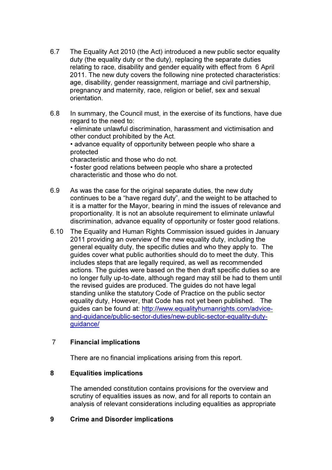- 6.7 The Equality Act 2010 (the Act) introduced a new public sector equality duty (the equality duty or the duty), replacing the separate duties relating to race, disability and gender equality with effect from 6 April 2011. The new duty covers the following nine protected characteristics: age, disability, gender reassignment, marriage and civil partnership, pregnancy and maternity, race, religion or belief, sex and sexual orientation.
- 6.8 In summary, the Council must, in the exercise of its functions, have due regard to the need to:

• eliminate unlawful discrimination, harassment and victimisation and other conduct prohibited by the Act.

• advance equality of opportunity between people who share a protected

characteristic and those who do not.

• foster good relations between people who share a protected characteristic and those who do not.

- 6.9 As was the case for the original separate duties, the new duty continues to be a "have regard duty", and the weight to be attached to it is a matter for the Mayor, bearing in mind the issues of relevance and proportionality. It is not an absolute requirement to eliminate unlawful discrimination, advance equality of opportunity or foster good relations.
- 6.10 The Equality and Human Rights Commission issued guides in January 2011 providing an overview of the new equality duty, including the general equality duty, the specific duties and who they apply to. The guides cover what public authorities should do to meet the duty. This includes steps that are legally required, as well as recommended actions. The guides were based on the then draft specific duties so are no longer fully up-to-date, although regard may still be had to them until the revised guides are produced. The guides do not have legal standing unlike the statutory Code of Practice on the public sector equality duty, However, that Code has not yet been published. The guides can be found at: http://www.equalityhumanrights.com/adviceand-guidance/public-sector-duties/new-public-sector-equality-dutyguidance/

#### 7 Financial implications

There are no financial implications arising from this report.

#### 8 Equalities implications

The amended constitution contains provisions for the overview and scrutiny of equalities issues as now, and for all reports to contain an analysis of relevant considerations including equalities as appropriate

#### 9 Crime and Disorder implications